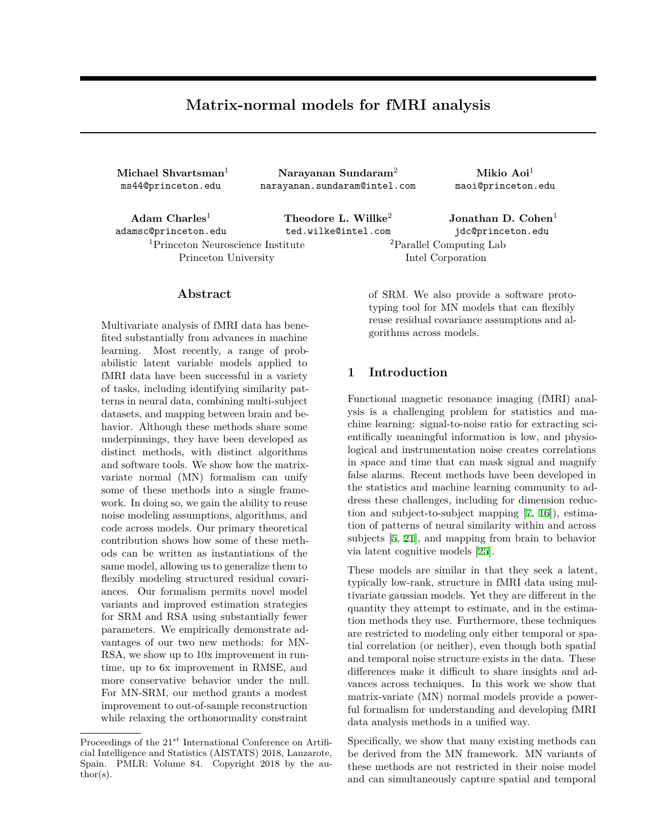# **Matrix-normal models for fMRI analysis**

**Michael Shvartsman**<sup>1</sup> ms44@princeton.edu

**Narayanan Sundaram**<sup>2</sup> narayanan.sundaram@intel.com

**Mikio Aoi**<sup>1</sup> maoi@princeton.edu

**Adam Charles**<sup>1</sup> adamsc@princeton.edu <sup>1</sup>Princeton Neuroscience Institute Princeton University

### **Abstract**

Multivariate analysis of fMRI data has benefited substantially from advances in machine learning. Most recently, a range of probabilistic latent variable models applied to fMRI data have been successful in a variety of tasks, including identifying similarity patterns in neural data, combining multi-subject datasets, and mapping between brain and behavior. Although these methods share some underpinnings, they have been developed as distinct methods, with distinct algorithms and software tools. We show how the matrixvariate normal (MN) formalism can unify some of these methods into a single framework. In doing so, we gain the ability to reuse noise modeling assumptions, algorithms, and code across models. Our primary theoretical contribution shows how some of these methods can be written as instantiations of the same model, allowing us to generalize them to flexibly modeling structured residual covariances. Our formalism permits novel model variants and improved estimation strategies for SRM and RSA using substantially fewer parameters. We empirically demonstrate advantages of our two new methods: for MN-RSA, we show up to 10x improvement in runtime, up to 6x improvement in RMSE, and more conservative behavior under the null. For MN-SRM, our method grants a modest improvement to out-of-sample reconstruction while relaxing the orthonormality constraint

**Theodore L. Willke**<sup>2</sup> ted.wilke@intel.com

**Jonathan D. Cohen**<sup>1</sup> jdc@princeton.edu <sup>2</sup>Parallel Computing Lab Intel Corporation

of SRM. We also provide a software prototyping tool for MN models that can flexibly reuse residual covariance assumptions and algorithms across models.

# **1 Introduction**

Functional magnetic resonance imaging (fMRI) analysis is a challenging problem for statistics and machine learning: signal-to-noise ratio for extracting scientifically meaningful information is low, and physiological and instrumentation noise creates correlations in space and time that can mask signal and magnify false alarms. Recent methods have been developed in the statistics and machine learning community to address these challenges, including for dimension reduction and subject-to-subject mapping [[7,](#page-8-0) [16\]](#page-8-1)), estimation of patterns of neural similarity within and across subjects [\[5](#page-8-2), [21\]](#page-8-3), and mapping from brain to behavior via latent cognitive models [[25\]](#page-9-0).

These models are similar in that they seek a latent, typically low-rank, structure in fMRI data using multivariate gaussian models. Yet they are different in the quantity they attempt to estimate, and in the estimation methods they use. Furthermore, these techniques are restricted to modeling only either temporal or spatial correlation (or neither), even though both spatial and temporal noise structure exists in the data. These differences make it difficult to share insights and advances across techniques. In this work we show that matrix-variate (MN) normal models provide a powerful formalism for understanding and developing fMRI data analysis methods in a unified way.

Specifically, we show that many existing methods can be derived from the MN framework. MN variants of these methods are not restricted in their noise model and can simultaneously capture spatial and temporal

Proceedings of the 21*st* International Conference on Artificial Intelligence and Statistics (AISTATS) 2018, Lanzarote, Spain. PMLR: Volume 84. Copyright 2018 by the author(s).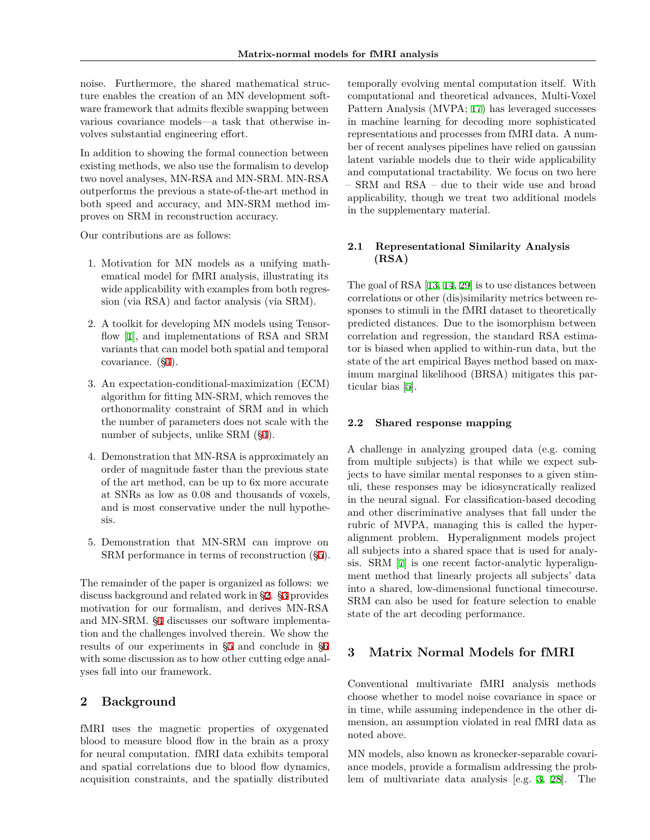noise. Furthermore, the shared mathematical structure enables the creation of an MN development software framework that admits flexible swapping between various covariance models—a task that otherwise involves substantial engineering effort.

In addition to showing the formal connection between existing methods, we also use the formalism to develop two novel analyses, MN-RSA and MN-SRM. MN-RSA outperforms the previous a state-of-the-art method in both speed and accuracy, and MN-SRM method improves on SRM in reconstruction accuracy.

Our contributions are as follows:

- 1. Motivation for MN models as a unifying mathematical model for fMRI analysis, illustrating its wide applicability with examples from both regression (via RSA) and factor analysis (via SRM).
- 2. A toolkit for developing MN models using Tensorflow [[1\]](#page-8-4), and implementations of RSA and SRM variants that can model both spatial and temporal covariance. ([§4](#page-3-0)).
- 3. An expectation-conditional-maximization (ECM) algorithm for fitting MN-SRM, which removes the orthonormality constraint of SRM and in which the number of parameters does not scale with the number of subjects, unlike SRM (§[4\)](#page-3-0).
- 4. Demonstration that MN-RSA is approximately an order of magnitude faster than the previous state of the art method, can be up to 6x more accurate at SNRs as low as 0.08 and thousands of voxels, and is most conservative under the null hypothesis.
- 5. Demonstration that MN-SRM can improve on SRM performance in terms of reconstruction (§[5\)](#page-4-0).

The remainder of the paper is organized as follows: we discuss background and related work in §[2.](#page-1-0) [§3](#page-1-1) provides motivation for our formalism, and derives MN-RSA and MN-SRM. §[4](#page-3-0) discusses our software implementation and the challenges involved therein. We show the results of our experiments in §[5](#page-4-0) and conclude in §[6](#page-6-0) with some discussion as to how other cutting edge analyses fall into our framework.

# <span id="page-1-0"></span>**2 Background**

fMRI uses the magnetic properties of oxygenated blood to measure blood flow in the brain as a proxy for neural computation. fMRI data exhibits temporal and spatial correlations due to blood flow dynamics, acquisition constraints, and the spatially distributed

temporally evolving mental computation itself. With computational and theoretical advances, Multi-Voxel Pattern Analysis (MVPA; [17\)](#page-8-5) has leveraged successes in machine learning for decoding more sophisticated representations and processes from fMRI data. A number of recent analyses pipelines have relied on gaussian latent variable models due to their wide applicability and computational tractability. We focus on two here – SRM and RSA – due to their wide use and broad applicability, though we treat two additional models in the supplementary material.

# **2.1 Representational Similarity Analysis (RSA)**

The goal of RSA [[13,](#page-8-6) [14,](#page-8-7) [29\]](#page-9-1) is to use distances between correlations or other (dis)similarity metrics between responses to stimuli in the fMRI dataset to theoretically predicted distances. Due to the isomorphism between correlation and regression, the standard RSA estimator is biased when applied to within-run data, but the state of the art empirical Bayes method based on maximum marginal likelihood (BRSA) mitigates this particular bias [\[5](#page-8-2)].

#### **2.2 Shared response mapping**

A challenge in analyzing grouped data (e.g. coming from multiple subjects) is that while we expect subjects to have similar mental responses to a given stimuli, these responses may be idiosyncratically realized in the neural signal. For classification-based decoding and other discriminative analyses that fall under the rubric of MVPA, managing this is called the hyperalignment problem. Hyperalignment models project all subjects into a shared space that is used for analysis. SRM [[7\]](#page-8-0) is one recent factor-analytic hyperalignment method that linearly projects all subjects' data into a shared, low-dimensional functional timecourse. SRM can also be used for feature selection to enable state of the art decoding performance.

# <span id="page-1-1"></span>**3 Matrix Normal Models for fMRI**

Conventional multivariate fMRI analysis methods choose whether to model noise covariance in space or in time, while assuming independence in the other dimension, an assumption violated in real fMRI data as noted above.

MN models, also known as kronecker-separable covariance models, provide a formalism addressing the problem of multivariate data analysis [e.g. [3](#page-8-8), [28\]](#page-9-2). The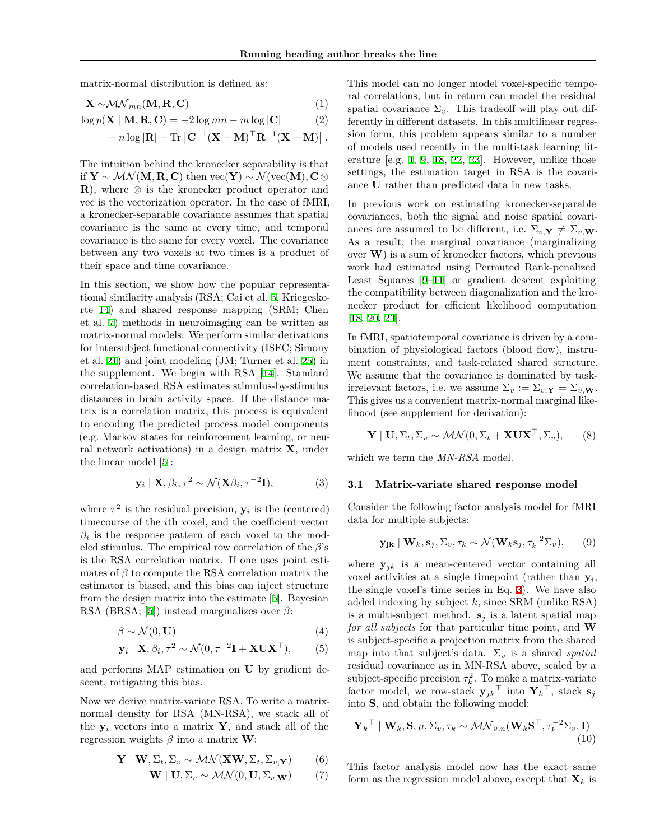matrix-normal distribution is defined as:

$$
\mathbf{X} \sim \mathcal{MN}_{mn}(\mathbf{M}, \mathbf{R}, \mathbf{C})
$$
 (1)

$$
\log p(\mathbf{X} \mid \mathbf{M}, \mathbf{R}, \mathbf{C}) = -2\log mn - m\log|\mathbf{C}| \tag{2}
$$

$$
- n \log |\mathbf{R}| - \text{Tr} \left[ \mathbf{C}^{-1} (\mathbf{X} - \mathbf{M})^{\top} \mathbf{R}^{-1} (\mathbf{X} - \mathbf{M}) \right].
$$

The intuition behind the kronecker separability is that if  $Y \sim \mathcal{MN}(M, R, C)$  then vec $(Y) \sim \mathcal{N}(vec(M), C \otimes$ **R**), where *⊗* is the kronecker product operator and vec is the vectorization operator. In the case of fMRI, a kronecker-separable covariance assumes that spatial covariance is the same at every time, and temporal covariance is the same for every voxel. The covariance between any two voxels at two times is a product of their space and time covariance.

In this section, we show how the popular representational similarity analysis (RSA; Cai et al. [5](#page-8-2), Kriegeskorte [14](#page-8-7)) and shared response mapping (SRM; Chen et al. [7\)](#page-8-0) methods in neuroimaging can be written as matrix-normal models. We perform similar derivations for intersubject functional connectivity (ISFC; Simony et al. [21\)](#page-8-3) and joint modeling (JM; Turner et al. [25](#page-9-0)) in the supplement. We begin with RSA [[14\]](#page-8-7). Standard correlation-based RSA estimates stimulus-by-stimulus distances in brain activity space. If the distance matrix is a correlation matrix, this process is equivalent to encoding the predicted process model components (e.g. Markov states for reinforcement learning, or neural network activations) in a design matrix **X**, under the linear model [[5\]](#page-8-2):

$$
\mathbf{y}_i \mid \mathbf{X}, \beta_i, \tau^2 \sim \mathcal{N}(\mathbf{X}\beta_i, \tau^{-2}\mathbf{I}), \tag{3}
$$

where  $\tau^2$  is the residual precision,  $y_i$  is the (centered) timecourse of the *i*th voxel, and the coefficient vector  $\beta_i$  is the response pattern of each voxel to the modeled stimulus. The empirical row correlation of the *β*'s is the RSA correlation matrix. If one uses point estimates of  $\beta$  to compute the RSA correlation matrix the estimator is biased, and this bias can inject structure from the design matrix into the estimate [\[5](#page-8-2)]. Bayesian RSA (BRSA; [\[5](#page-8-2)]) instead marginalizes over *β*:

$$
\beta \sim \mathcal{N}(0, \mathbf{U})\tag{4}
$$

$$
\mathbf{y}_i \mid \mathbf{X}, \beta_i, \tau^2 \sim \mathcal{N}(0, \tau^{-2} \mathbf{I} + \mathbf{X} \mathbf{U} \mathbf{X}^\top), \qquad (5)
$$

and performs MAP estimation on **U** by gradient descent, mitigating this bias.

Now we derive matrix-variate RSA. To write a matrixnormal density for RSA (MN-RSA), we stack all of the  $y_i$  vectors into a matrix **Y**, and stack all of the regression weights *β* into a matrix **W**:

$$
\mathbf{Y} \mid \mathbf{W}, \Sigma_t, \Sigma_v \sim \mathcal{MN}(\mathbf{XW}, \Sigma_t, \Sigma_{v, \mathbf{Y}})
$$
 (6)

$$
\mathbf{W} \mid \mathbf{U}, \Sigma_v \sim \mathcal{MN}(0, \mathbf{U}, \Sigma_{v, \mathbf{W}}) \tag{7}
$$

This model can no longer model voxel-specific temporal correlations, but in return can model the residual spatial covariance  $\Sigma_v$ . This tradeoff will play out differently in different datasets. In this multilinear regression form, this problem appears similar to a number of models used recently in the multi-task learning literature [e.g. [4,](#page-8-9) [9,](#page-8-10) [18](#page-8-11), [22](#page-8-12), [23](#page-9-3)]. However, unlike those settings, the estimation target in RSA is the covariance **U** rather than predicted data in new tasks.

In previous work on estimating kronecker-separable covariances, both the signal and noise spatial covariances are assumed to be different, i.e.  $\Sigma_{v,\mathbf{Y}} \neq \Sigma_{v,\mathbf{W}}$ . As a result, the marginal covariance (marginalizing over **W**) is a sum of kronecker factors, which previous work had estimated using Permuted Rank-penalized Least Squares [\[9](#page-8-10)[–11](#page-8-13)] or gradient descent exploiting the compatibility between diagonalization and the kronecker product for efficient likelihood computation [\[18](#page-8-11), [20](#page-8-14), [23](#page-9-3)].

In fMRI, spatiotemporal covariance is driven by a combination of physiological factors (blood flow), instrument constraints, and task-related shared structure. We assume that the covariance is dominated by taskirrelevant factors, i.e. we assume  $\Sigma_v := \Sigma_v \mathbf{Y} = \Sigma_v \mathbf{W}$ . This gives us a convenient matrix-normal marginal likelihood (see supplement for derivation):

$$
\mathbf{Y} \mid \mathbf{U}, \Sigma_t, \Sigma_v \sim \mathcal{MN}(0, \Sigma_t + \mathbf{XUX}^\top, \Sigma_v), \qquad (8)
$$

which we term the *MN-RSA* model.

### <span id="page-2-0"></span>**3.1 Matrix-variate shared response model**

Consider the following factor analysis model for fMRI data for multiple subjects:

$$
\mathbf{y_{jk}} \mid \mathbf{W}_k, \mathbf{s}_j, \Sigma_v, \tau_k \sim \mathcal{N}(\mathbf{W}_k \mathbf{s}_j, \tau_k^{-2} \Sigma_v), \qquad (9)
$$

where  $y_{jk}$  is a mean-centered vector containing all voxel activities at a single timepoint (rather than **y***<sup>i</sup>* , the single voxel's time series in Eq. [3\)](#page-2-0). We have also added indexing by subject *k*, since SRM (unlike RSA) is a multi-subject method.  $s_i$  is a latent spatial map *for all subjects* for that particular time point, and **W** is subject-specific a projection matrix from the shared map into that subject's data.  $\Sigma_v$  is a shared *spatial* residual covariance as in MN-RSA above, scaled by a subject-specific precision  $\tau_k^2$ . To make a matrix-variate factor model, we row-stack  $y_{jk}$ <sup> $\perp$ </sup> into  $Y_k$ <sup> $\perp$ </sup>, stack  $s_j$ into **S**, and obtain the following model:

$$
\mathbf{Y}_k^\top \mid \mathbf{W}_k, \mathbf{S}, \mu, \Sigma_v, \tau_k \sim \mathcal{MN}_{v,n}(\mathbf{W}_k \mathbf{S}^\top, \tau_k^{-2} \Sigma_v, \mathbf{I})
$$
\n(10)

This factor analysis model now has the exact same form as the regression model above, except that  $\mathbf{X}_k$  is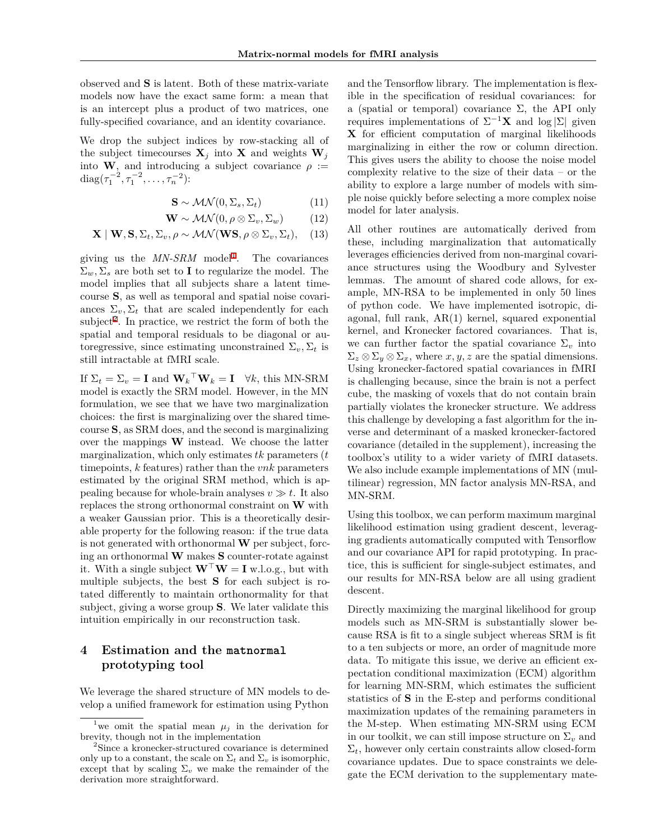observed and **S** is latent. Both of these matrix-variate models now have the exact same form: a mean that is an intercept plus a product of two matrices, one fully-specified covariance, and an identity covariance.

We drop the subject indices by row-stacking all of the subject timecourses  $X_j$  into X and weights  $W_j$ into **W**, and introducing a subject covariance  $\rho$  := diag( $\tau_1^{-2}, \tau_1^{-2}, \ldots, \tau_n^{-2}$ ):

$$
\mathbf{S} \sim \mathcal{MN}(0, \Sigma_s, \Sigma_t) \tag{11}
$$

$$
\mathbf{W} \sim \mathcal{MN}(0, \rho \otimes \Sigma_v, \Sigma_w) \tag{12}
$$

$$
\mathbf{X} \mid \mathbf{W}, \mathbf{S}, \Sigma_t, \Sigma_v, \rho \sim \mathcal{MN}(\mathbf{WS}, \rho \otimes \Sigma_v, \Sigma_t), \quad (13)
$$

giving us the  $MN\text{-}SRM$  model<sup>[1](#page-3-1)</sup>. The covariances  $\Sigma_w$ ,  $\Sigma_s$  are both set to **I** to regularize the model. The model implies that all subjects share a latent timecourse **S**, as well as temporal and spatial noise covariances  $\Sigma_v, \Sigma_t$  that are scaled independently for each subject<sup>[2](#page-3-2)</sup>. In practice, we restrict the form of both the spatial and temporal residuals to be diagonal or autoregressive, since estimating unconstrained  $\Sigma_v, \Sigma_t$  is still intractable at fMRI scale.

If  $\Sigma_t = \Sigma_v = \mathbf{I}$  and  $\mathbf{W}_k^\top \mathbf{W}_k = \mathbf{I}^\top \forall k$ , this MN-SRM model is exactly the SRM model. However, in the MN formulation, we see that we have two marginalization choices: the first is marginalizing over the shared timecourse **S**, as SRM does, and the second is marginalizing over the mappings **W** instead. We choose the latter marginalization, which only estimates *tk* parameters (*t* timepoints, *k* features) rather than the *vnk* parameters estimated by the original SRM method, which is appealing because for whole-brain analyses  $v \gg t$ . It also replaces the strong orthonormal constraint on **W** with a weaker Gaussian prior. This is a theoretically desirable property for the following reason: if the true data is not generated with orthonormal **W** per subject, forcing an orthonormal **W** makes **S** counter-rotate against it. With a single subject **W***⊤***W** = **I** w.l.o.g., but with multiple subjects, the best **S** for each subject is rotated differently to maintain orthonormality for that subject, giving a worse group **S**. We later validate this intuition empirically in our reconstruction task.

# <span id="page-3-0"></span>**4 Estimation and the matnormal prototyping tool**

We leverage the shared structure of MN models to develop a unified framework for estimation using Python

and the Tensorflow library. The implementation is flexible in the specification of residual covariances: for a (spatial or temporal) covariance  $\Sigma$ , the API only requires implementations of Σ *<sup>−</sup>*1**<sup>X</sup>** and log *<sup>|</sup>*Σ*<sup>|</sup>* given **X** for efficient computation of marginal likelihoods marginalizing in either the row or column direction. This gives users the ability to choose the noise model complexity relative to the size of their data – or the ability to explore a large number of models with simple noise quickly before selecting a more complex noise model for later analysis.

All other routines are automatically derived from these, including marginalization that automatically leverages efficiencies derived from non-marginal covariance structures using the Woodbury and Sylvester lemmas. The amount of shared code allows, for example, MN-RSA to be implemented in only 50 lines of python code. We have implemented isotropic, diagonal, full rank, AR(1) kernel, squared exponential kernel, and Kronecker factored covariances. That is, we can further factor the spatial covariance  $\Sigma_v$  into  $\Sigma_z \otimes \Sigma_y \otimes \Sigma_x$ , where *x*, *y*, *z* are the spatial dimensions. Using kronecker-factored spatial covariances in fMRI is challenging because, since the brain is not a perfect cube, the masking of voxels that do not contain brain partially violates the kronecker structure. We address this challenge by developing a fast algorithm for the inverse and determinant of a masked kronecker-factored covariance (detailed in the supplement), increasing the toolbox's utility to a wider variety of fMRI datasets. We also include example implementations of MN (multilinear) regression, MN factor analysis MN-RSA, and MN-SRM.

Using this toolbox, we can perform maximum marginal likelihood estimation using gradient descent, leveraging gradients automatically computed with Tensorflow and our covariance API for rapid prototyping. In practice, this is sufficient for single-subject estimates, and our results for MN-RSA below are all using gradient descent.

Directly maximizing the marginal likelihood for group models such as MN-SRM is substantially slower because RSA is fit to a single subject whereas SRM is fit to a ten subjects or more, an order of magnitude more data. To mitigate this issue, we derive an efficient expectation conditional maximization (ECM) algorithm for learning MN-SRM, which estimates the sufficient statistics of **S** in the E-step and performs conditional maximization updates of the remaining parameters in the M-step. When estimating MN-SRM using ECM in our toolkit, we can still impose structure on  $\Sigma_v$  and  $\Sigma_t$ , however only certain constraints allow closed-form covariance updates. Due to space constraints we delegate the ECM derivation to the supplementary mate-

<span id="page-3-1"></span><sup>&</sup>lt;sup>1</sup>we omit the spatial mean  $\mu_j$  in the derivation for brevity, though not in the implementation

<span id="page-3-2"></span><sup>2</sup>Since a kronecker-structured covariance is determined only up to a constant, the scale on  $\Sigma_t$  and  $\Sigma_v$  is isomorphic, except that by scaling  $\Sigma_v$  we make the remainder of the derivation more straightforward.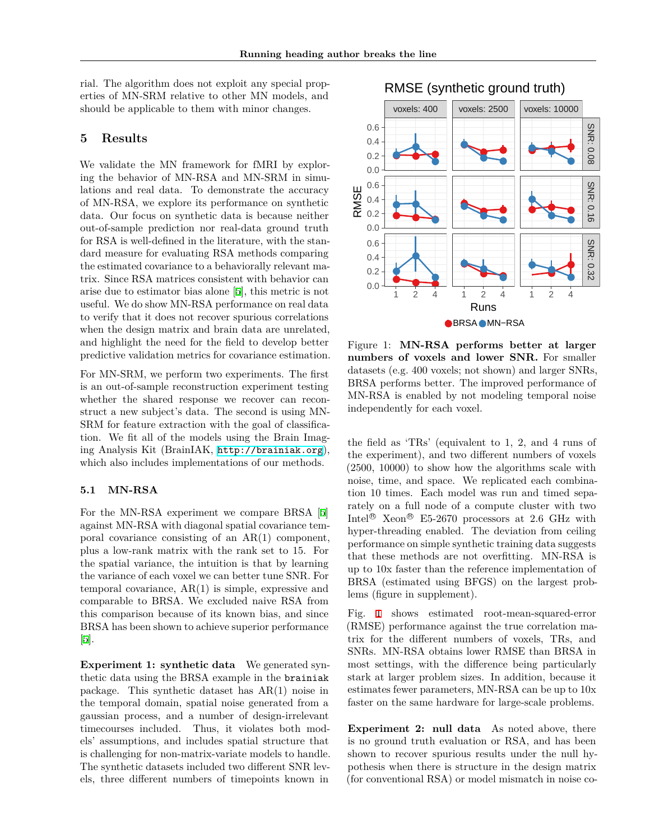rial. The algorithm does not exploit any special properties of MN-SRM relative to other MN models, and should be applicable to them with minor changes.

### <span id="page-4-0"></span>**5 Results**

We validate the MN framework for fMRI by exploring the behavior of MN-RSA and MN-SRM in simulations and real data. To demonstrate the accuracy of MN-RSA, we explore its performance on synthetic data. Our focus on synthetic data is because neither out-of-sample prediction nor real-data ground truth for RSA is well-defined in the literature, with the standard measure for evaluating RSA methods comparing the estimated covariance to a behaviorally relevant matrix. Since RSA matrices consistent with behavior can arise due to estimator bias alone [[5](#page-8-2)], this metric is not useful. We do show MN-RSA performance on real data to verify that it does not recover spurious correlations when the design matrix and brain data are unrelated, and highlight the need for the field to develop better predictive validation metrics for covariance estimation.

For MN-SRM, we perform two experiments. The first is an out-of-sample reconstruction experiment testing whether the shared response we recover can reconstruct a new subject's data. The second is using MN-SRM for feature extraction with the goal of classification. We fit all of the models using the Brain Imaging Analysis Kit (BrainIAK, <http://brainiak.org>), which also includes implementations of our methods.

### **5.1 MN-RSA**

For the MN-RSA experiment we compare BRSA [[5\]](#page-8-2) against MN-RSA with diagonal spatial covariance temporal covariance consisting of an AR(1) component, plus a low-rank matrix with the rank set to 15. For the spatial variance, the intuition is that by learning the variance of each voxel we can better tune SNR. For temporal covariance, AR(1) is simple, expressive and comparable to BRSA. We excluded naive RSA from this comparison because of its known bias, and since BRSA has been shown to achieve superior performance [\[5](#page-8-2)].

**Experiment 1: synthetic data** We generated synthetic data using the BRSA example in the brainiak package. This synthetic dataset has AR(1) noise in the temporal domain, spatial noise generated from a gaussian process, and a number of design-irrelevant timecourses included. Thus, it violates both models' assumptions, and includes spatial structure that is challenging for non-matrix-variate models to handle. The synthetic datasets included two different SNR levels, three different numbers of timepoints known in



<span id="page-4-1"></span>Figure 1: **MN-RSA performs better at larger numbers of voxels and lower SNR.** For smaller datasets (e.g. 400 voxels; not shown) and larger SNRs, BRSA performs better. The improved performance of MN-RSA is enabled by not modeling temporal noise independently for each voxel.

the field as 'TRs' (equivalent to 1, 2, and 4 runs of the experiment), and two different numbers of voxels (2500, 10000) to show how the algorithms scale with noise, time, and space. We replicated each combination 10 times. Each model was run and timed separately on a full node of a compute cluster with two Intel<sup>®</sup> Xeon<sup>®</sup> E5-2670 processors at 2.6 GHz with hyper-threading enabled. The deviation from ceiling performance on simple synthetic training data suggests that these methods are not overfitting. MN-RSA is up to 10x faster than the reference implementation of BRSA (estimated using BFGS) on the largest problems (figure in supplement).

Fig. [1](#page-4-1) shows estimated root-mean-squared-error (RMSE) performance against the true correlation matrix for the different numbers of voxels, TRs, and SNRs. MN-RSA obtains lower RMSE than BRSA in most settings, with the difference being particularly stark at larger problem sizes. In addition, because it estimates fewer parameters, MN-RSA can be up to 10x faster on the same hardware for large-scale problems.

<span id="page-4-2"></span>**Experiment 2: null data** As noted above, there is no ground truth evaluation or RSA, and has been shown to recover spurious results under the null hypothesis when there is structure in the design matrix (for conventional RSA) or model mismatch in noise co-

# RMSE (synthetic ground truth)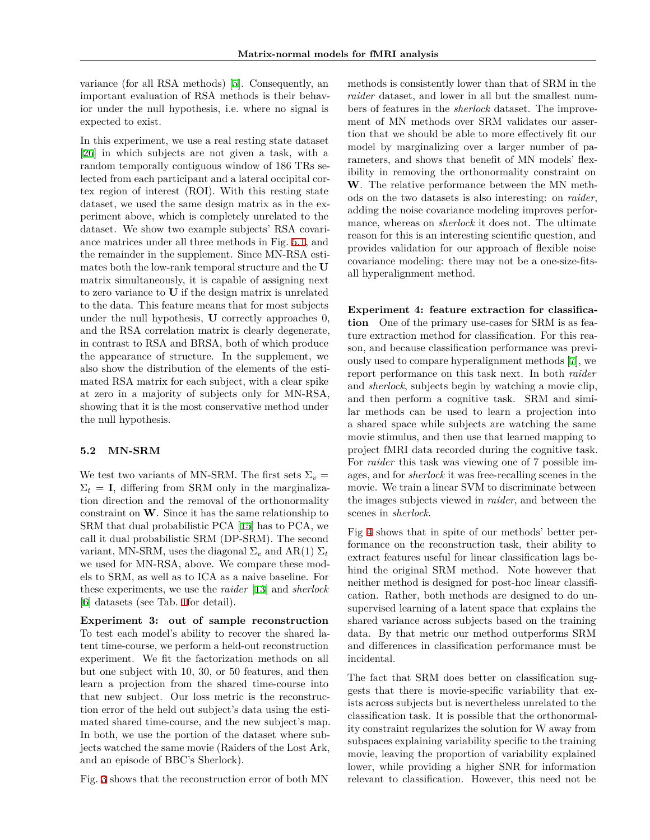variance (for all RSA methods) [\[5](#page-8-2)]. Consequently, an important evaluation of RSA methods is their behavior under the null hypothesis, i.e. where no signal is expected to exist.

In this experiment, we use a real resting state dataset [\[26](#page-9-4)] in which subjects are not given a task, with a random temporally contiguous window of 186 TRs selected from each participant and a lateral occipital cortex region of interest (ROI). With this resting state dataset, we used the same design matrix as in the experiment above, which is completely unrelated to the dataset. We show two example subjects' RSA covariance matrices under all three methods in Fig. [5.1,](#page-4-2) and the remainder in the supplement. Since MN-RSA estimates both the low-rank temporal structure and the **U** matrix simultaneously, it is capable of assigning next to zero variance to **U** if the design matrix is unrelated to the data. This feature means that for most subjects under the null hypothesis, **U** correctly approaches 0, and the RSA correlation matrix is clearly degenerate, in contrast to RSA and BRSA, both of which produce the appearance of structure. In the supplement, we also show the distribution of the elements of the estimated RSA matrix for each subject, with a clear spike at zero in a majority of subjects only for MN-RSA, showing that it is the most conservative method under the null hypothesis.

### **5.2 MN-SRM**

We test two variants of MN-SRM. The first sets  $\Sigma_v =$  $\Sigma_t = I$ , differing from SRM only in the marginalization direction and the removal of the orthonormality constraint on **W**. Since it has the same relationship to SRM that dual probabilistic PCA [[15\]](#page-8-15) has to PCA, we call it dual probabilistic SRM (DP-SRM). The second variant, MN-SRM, uses the diagonal  $\Sigma_v$  and AR(1)  $\Sigma_t$ we used for MN-RSA, above. We compare these models to SRM, as well as to ICA as a naive baseline. For these experiments, we use the *raider* [\[13](#page-8-6)] and *sherlock* [\[6](#page-8-16)] datasets (see Tab. [1](#page-6-1)for detail).

**Experiment 3: out of sample reconstruction** To test each model's ability to recover the shared latent time-course, we perform a held-out reconstruction experiment. We fit the factorization methods on all but one subject with 10, 30, or 50 features, and then learn a projection from the shared time-course into that new subject. Our loss metric is the reconstruction error of the held out subject's data using the estimated shared time-course, and the new subject's map. In both, we use the portion of the dataset where subjects watched the same movie (Raiders of the Lost Ark, and an episode of BBC's Sherlock).

Fig. [3](#page-7-0) shows that the reconstruction error of both MN

methods is consistently lower than that of SRM in the *raider* dataset, and lower in all but the smallest numbers of features in the *sherlock* dataset. The improvement of MN methods over SRM validates our assertion that we should be able to more effectively fit our model by marginalizing over a larger number of parameters, and shows that benefit of MN models' flexibility in removing the orthonormality constraint on **W**. The relative performance between the MN methods on the two datasets is also interesting: on *raider*, adding the noise covariance modeling improves performance, whereas on *sherlock* it does not. The ultimate reason for this is an interesting scientific question, and provides validation for our approach of flexible noise covariance modeling: there may not be a one-size-fitsall hyperalignment method.

**Experiment 4: feature extraction for classification** One of the primary use-cases for SRM is as feature extraction method for classification. For this reason, and because classification performance was previously used to compare hyperalignment methods [[7](#page-8-0)], we report performance on this task next. In both *raider* and *sherlock*, subjects begin by watching a movie clip, and then perform a cognitive task. SRM and similar methods can be used to learn a projection into a shared space while subjects are watching the same movie stimulus, and then use that learned mapping to project fMRI data recorded during the cognitive task. For *raider* this task was viewing one of 7 possible images, and for *sherlock* it was free-recalling scenes in the movie. We train a linear SVM to discriminate between the images subjects viewed in *raider*, and between the scenes in *sherlock*.

Fig [4](#page-7-1) shows that in spite of our methods' better performance on the reconstruction task, their ability to extract features useful for linear classification lags behind the original SRM method. Note however that neither method is designed for post-hoc linear classification. Rather, both methods are designed to do unsupervised learning of a latent space that explains the shared variance across subjects based on the training data. By that metric our method outperforms SRM and differences in classification performance must be incidental.

The fact that SRM does better on classification suggests that there is movie-specific variability that exists across subjects but is nevertheless unrelated to the classification task. It is possible that the orthonormality constraint regularizes the solution for W away from subspaces explaining variability specific to the training movie, leaving the proportion of variability explained lower, while providing a higher SNR for information relevant to classification. However, this need not be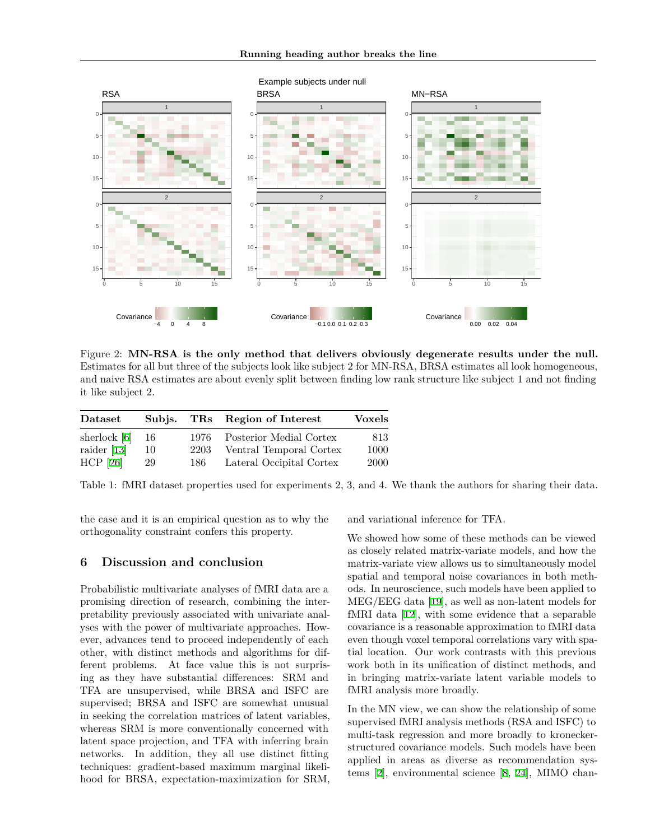

Figure 2: **MN-RSA is the only method that delivers obviously degenerate results under the null.** Estimates for all but three of the subjects look like subject 2 for MN-RSA, BRSA estimates all look homogeneous, and naive RSA estimates are about evenly split between finding low rank structure like subject 1 and not finding it like subject 2.

| Dataset        | Subis. |       | TRs Region of Interest   | <b>Voxels</b> |
|----------------|--------|-------|--------------------------|---------------|
| sherlock $[6]$ | -16    | 1976- | Posterior Medial Cortex  | 813           |
| raider $[13]$  | 10     | 2203  | Ventral Temporal Cortex  | 1000          |
| $HCP$ [26]     | 29     | 186-  | Lateral Occipital Cortex | <b>2000</b>   |

Table 1: fMRI dataset properties used for experiments 2, 3, and 4. We thank the authors for sharing their data.

the case and it is an empirical question as to why the orthogonality constraint confers this property.

### <span id="page-6-0"></span>**6 Discussion and conclusion**

Probabilistic multivariate analyses of fMRI data are a promising direction of research, combining the interpretability previously associated with univariate analyses with the power of multivariate approaches. However, advances tend to proceed independently of each other, with distinct methods and algorithms for different problems. At face value this is not surprising as they have substantial differences: SRM and TFA are unsupervised, while BRSA and ISFC are supervised; BRSA and ISFC are somewhat unusual in seeking the correlation matrices of latent variables, whereas SRM is more conventionally concerned with latent space projection, and TFA with inferring brain networks. In addition, they all use distinct fitting techniques: gradient-based maximum marginal likelihood for BRSA, expectation-maximization for SRM, <span id="page-6-1"></span>and variational inference for TFA.

We showed how some of these methods can be viewed as closely related matrix-variate models, and how the matrix-variate view allows us to simultaneously model spatial and temporal noise covariances in both methods. In neuroscience, such models have been applied to MEG/EEG data [\[19](#page-8-17)], as well as non-latent models for fMRI data [[12\]](#page-8-18), with some evidence that a separable covariance is a reasonable approximation to fMRI data even though voxel temporal correlations vary with spatial location. Our work contrasts with this previous work both in its unification of distinct methods, and in bringing matrix-variate latent variable models to fMRI analysis more broadly.

In the MN view, we can show the relationship of some supervised fMRI analysis methods (RSA and ISFC) to multi-task regression and more broadly to kroneckerstructured covariance models. Such models have been applied in areas as diverse as recommendation systems [\[2](#page-8-19)], environmental science [[8,](#page-8-20) [24\]](#page-9-5), MIMO chan-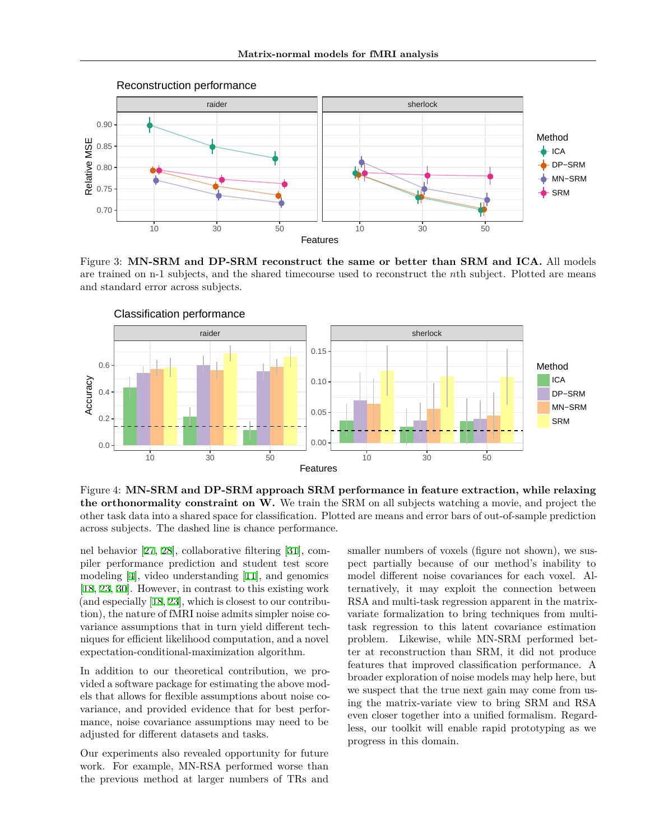

<span id="page-7-0"></span>Figure 3: **MN-SRM and DP-SRM reconstruct the same or better than SRM and ICA.** All models are trained on n-1 subjects, and the shared timecourse used to reconstruct the *n*th subject. Plotted are means and standard error across subjects.



<span id="page-7-1"></span>Figure 4: **MN-SRM and DP-SRM approach SRM performance in feature extraction, while relaxing the orthonormality constraint on W.** We train the SRM on all subjects watching a movie, and project the other task data into a shared space for classification. Plotted are means and error bars of out-of-sample prediction across subjects. The dashed line is chance performance.

nel behavior [[27,](#page-9-6) [28](#page-9-2)], collaborative filtering [[31\]](#page-9-7), compiler performance prediction and student test score modeling [[4\]](#page-8-9), video understanding [\[11](#page-8-13)], and genomics [\[18](#page-8-11), [23,](#page-9-3) [30\]](#page-9-8). However, in contrast to this existing work (and especially [\[18](#page-8-11), [23](#page-9-3)], which is closest to our contribution), the nature of fMRI noise admits simpler noise covariance assumptions that in turn yield different techniques for efficient likelihood computation, and a novel expectation-conditional-maximization algorithm.

In addition to our theoretical contribution, we provided a software package for estimating the above models that allows for flexible assumptions about noise covariance, and provided evidence that for best performance, noise covariance assumptions may need to be adjusted for different datasets and tasks.

Our experiments also revealed opportunity for future work. For example, MN-RSA performed worse than the previous method at larger numbers of TRs and

smaller numbers of voxels (figure not shown), we suspect partially because of our method's inability to model different noise covariances for each voxel. Alternatively, it may exploit the connection between RSA and multi-task regression apparent in the matrixvariate formalization to bring techniques from multitask regression to this latent covariance estimation problem. Likewise, while MN-SRM performed better at reconstruction than SRM, it did not produce features that improved classification performance. A broader exploration of noise models may help here, but we suspect that the true next gain may come from using the matrix-variate view to bring SRM and RSA even closer together into a unified formalism. Regardless, our toolkit will enable rapid prototyping as we progress in this domain.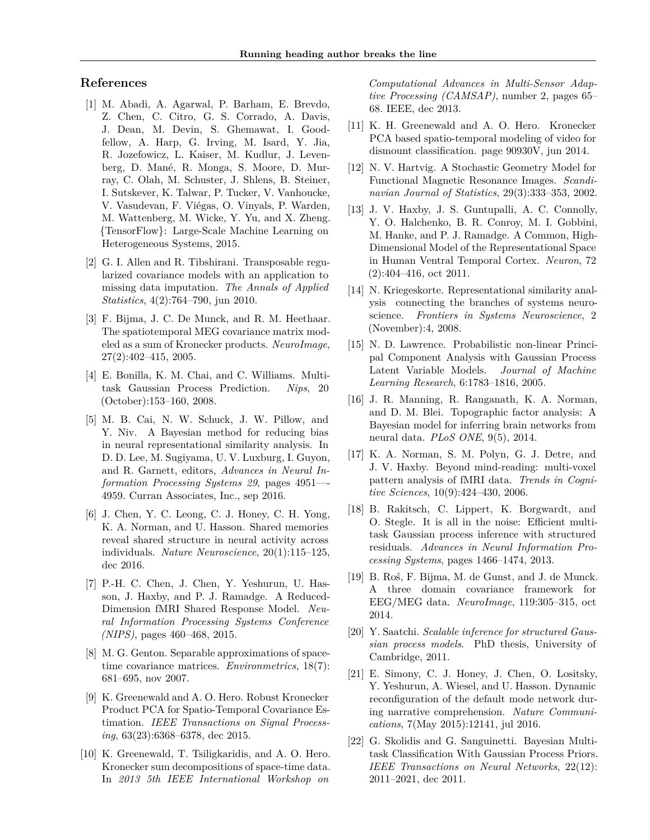# **References**

- <span id="page-8-4"></span>[1] M. Abadi, A. Agarwal, P. Barham, E. Brevdo, Z. Chen, C. Citro, G. S. Corrado, A. Davis, J. Dean, M. Devin, S. Ghemawat, I. Goodfellow, A. Harp, G. Irving, M. Isard, Y. Jia, R. Jozefowicz, L. Kaiser, M. Kudlur, J. Levenberg, D. Mané, R. Monga, S. Moore, D. Murray, C. Olah, M. Schuster, J. Shlens, B. Steiner, I. Sutskever, K. Talwar, P. Tucker, V. Vanhoucke, V. Vasudevan, F. Viégas, O. Vinyals, P. Warden, M. Wattenberg, M. Wicke, Y. Yu, and X. Zheng. {TensorFlow}: Large-Scale Machine Learning on Heterogeneous Systems, 2015.
- <span id="page-8-19"></span>[2] G. I. Allen and R. Tibshirani. Transposable regularized covariance models with an application to missing data imputation. *The Annals of Applied Statistics*, 4(2):764–790, jun 2010.
- <span id="page-8-8"></span>[3] F. Bijma, J. C. De Munck, and R. M. Heethaar. The spatiotemporal MEG covariance matrix modeled as a sum of Kronecker products. *NeuroImage*, 27(2):402–415, 2005.
- <span id="page-8-9"></span>[4] E. Bonilla, K. M. Chai, and C. Williams. Multitask Gaussian Process Prediction. *Nips*, 20 (October):153–160, 2008.
- <span id="page-8-2"></span>[5] M. B. Cai, N. W. Schuck, J. W. Pillow, and Y. Niv. A Bayesian method for reducing bias in neural representational similarity analysis. In D. D. Lee, M. Sugiyama, U. V. Luxburg, I. Guyon, and R. Garnett, editors, *Advances in Neural Information Processing Systems 29*, pages 4951—- 4959. Curran Associates, Inc., sep 2016.
- <span id="page-8-16"></span>[6] J. Chen, Y. C. Leong, C. J. Honey, C. H. Yong, K. A. Norman, and U. Hasson. Shared memories reveal shared structure in neural activity across individuals. *Nature Neuroscience*, 20(1):115–125, dec 2016.
- <span id="page-8-0"></span>[7] P.-H. C. Chen, J. Chen, Y. Yeshurun, U. Hasson, J. Haxby, and P. J. Ramadge. A Reduced-Dimension fMRI Shared Response Model. *Neural Information Processing Systems Conference (NIPS)*, pages 460–468, 2015.
- <span id="page-8-20"></span>[8] M. G. Genton. Separable approximations of spacetime covariance matrices. *Environmetrics*, 18(7): 681–695, nov 2007.
- <span id="page-8-10"></span>[9] K. Greenewald and A. O. Hero. Robust Kronecker Product PCA for Spatio-Temporal Covariance Estimation. *IEEE Transactions on Signal Processing*, 63(23):6368–6378, dec 2015.
- [10] K. Greenewald, T. Tsiligkaridis, and A. O. Hero. Kronecker sum decompositions of space-time data. In *2013 5th IEEE International Workshop on*

*Computational Advances in Multi-Sensor Adaptive Processing (CAMSAP)*, number 2, pages 65– 68. IEEE, dec 2013.

- <span id="page-8-13"></span>[11] K. H. Greenewald and A. O. Hero. Kronecker PCA based spatio-temporal modeling of video for dismount classification. page 90930V, jun 2014.
- <span id="page-8-18"></span>[12] N. V. Hartvig. A Stochastic Geometry Model for Functional Magnetic Resonance Images. *Scandinavian Journal of Statistics*, 29(3):333–353, 2002.
- <span id="page-8-6"></span>[13] J. V. Haxby, J. S. Guntupalli, A. C. Connolly, Y. O. Halchenko, B. R. Conroy, M. I. Gobbini, M. Hanke, and P. J. Ramadge. A Common, High-Dimensional Model of the Representational Space in Human Ventral Temporal Cortex. *Neuron*, 72 (2):404–416, oct 2011.
- <span id="page-8-7"></span>[14] N. Kriegeskorte. Representational similarity analysis connecting the branches of systems neuroscience. *Frontiers in Systems Neuroscience*, 2 (November):4, 2008.
- <span id="page-8-15"></span>[15] N. D. Lawrence. Probabilistic non-linear Principal Component Analysis with Gaussian Process Latent Variable Models. *Journal of Machine Learning Research*, 6:1783–1816, 2005.
- <span id="page-8-1"></span>[16] J. R. Manning, R. Ranganath, K. A. Norman, and D. M. Blei. Topographic factor analysis: A Bayesian model for inferring brain networks from neural data. *PLoS ONE*, 9(5), 2014.
- <span id="page-8-5"></span>[17] K. A. Norman, S. M. Polyn, G. J. Detre, and J. V. Haxby. Beyond mind-reading: multi-voxel pattern analysis of fMRI data. *Trends in Cognitive Sciences*, 10(9):424–430, 2006.
- <span id="page-8-11"></span>[18] B. Rakitsch, C. Lippert, K. Borgwardt, and O. Stegle. It is all in the noise: Efficient multitask Gaussian process inference with structured residuals. *Advances in Neural Information Processing Systems*, pages 1466–1474, 2013.
- <span id="page-8-17"></span>[19] B. Roś, F. Bijma, M. de Gunst, and J. de Munck. A three domain covariance framework for EEG/MEG data. *NeuroImage*, 119:305–315, oct 2014.
- <span id="page-8-14"></span>[20] Y. Saatchi. *Scalable inference for structured Gaussian process models*. PhD thesis, University of Cambridge, 2011.
- <span id="page-8-3"></span>[21] E. Simony, C. J. Honey, J. Chen, O. Lositsky, Y. Yeshurun, A. Wiesel, and U. Hasson. Dynamic reconfiguration of the default mode network during narrative comprehension. *Nature Communications*, 7(May 2015):12141, jul 2016.
- <span id="page-8-12"></span>[22] G. Skolidis and G. Sanguinetti. Bayesian Multitask Classification With Gaussian Process Priors. *IEEE Transactions on Neural Networks*, 22(12): 2011–2021, dec 2011.